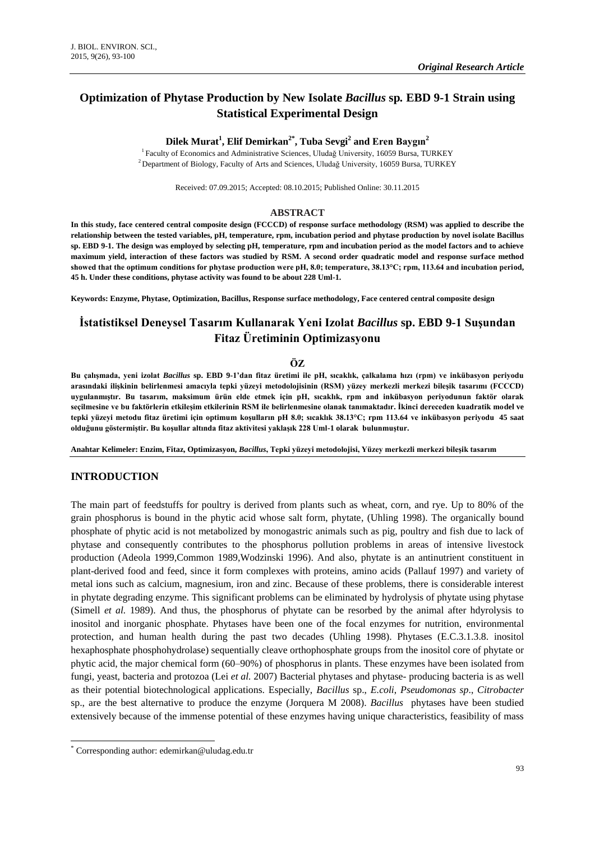# **Optimization of Phytase Production by New Isolate** *Bacillus* **sp***.* **EBD 9-1 Strain using Statistical Experimental Design**

## **Dilek Murat<sup>1</sup> , Elif Demirkan2\* , Tuba Sevgi<sup>2</sup> and Eren Baygın<sup>2</sup>**

<sup>1</sup> Faculty of Economics and Administrative Sciences, Uludağ University, 16059 Bursa, TURKEY <sup>2</sup> Department of Biology, Faculty of Arts and Sciences, Uludağ University, 16059 Bursa, TURKEY

Received: 07.09.2015; Accepted: 08.10.2015; Published Online: 30.11.2015

#### **ABSTRACT**

**In this study, face centered central composite design (FCCCD) of response surface methodology (RSM) was applied to describe the relationship between the tested variables, pH, temperature, rpm, incubation period and phytase production by novel isolate Bacillus sp. EBD 9-1. The design was employed by selecting pH, temperature, rpm and incubation period as the model factors and to achieve maximum yield, interaction of these factors was studied by RSM. A second order quadratic model and response surface method showed that the optimum conditions for phytase production were pH, 8.0; temperature, 38.13°C; rpm, 113.64 and incubation period, 45 h. Under these conditions, phytase activity was found to be about 228 Uml-1.** 

**Keywords: Enzyme, Phytase, Optimization, Bacillus, Response surface methodology, Face centered central composite design**

# **İstatistiksel Deneysel Tasarım Kullanarak Yeni Izolat** *Bacillus* **sp. EBD 9-1 Suşundan Fitaz Üretiminin Optimizasyonu**

#### **ÖZ**

**Bu çalışmada, yeni izolat** *Bacillus* **sp. EBD 9-1'dan fitaz üretimi ile pH, sıcaklık, çalkalama hızı (rpm) ve inkübasyon periyodu arasındaki ilişkinin belirlenmesi amacıyla tepki yüzeyi metodolojisinin (RSM) yüzey merkezli merkezi bileşik tasarımı (FCCCD) uygulanmıştır. Bu tasarım, maksimum ürün elde etmek için pH, sıcaklık, rpm and inkübasyon periyodunun faktör olarak seçilmesine ve bu faktörlerin etkileşim etkilerinin RSM ile belirlenmesine olanak tanımaktadır. İkinci dereceden kuadratik model ve tepki yüzeyi metodu fitaz üretimi için optimum koşulların pH 8.0; sıcaklık 38.13°C; rpm 113.64 ve inkübasyon periyodu 45 saat olduğunu göstermiştir. Bu koşullar altında fitaz aktivitesi yaklaşık 228 Uml-1 olarak bulunmuştur.**

**Anahtar Kelimeler: Enzim, Fitaz, Optimizasyon,** *Bacillus***, Tepki yüzeyi metodolojisi, Yüzey merkezli merkezi bileşik tasarım**

### **INTRODUCTION**

The main part of feedstuffs for poultry is derived from plants such as wheat, corn, and rye. Up to 80% of the grain phosphorus is bound in the phytic acid whose salt form, phytate, (Uhling 1998). The organically bound phosphate of phytic acid is not metabolized by monogastric animals such as pig, poultry and fish due to lack of phytase and consequently contributes to the phosphorus pollution problems in areas of intensive livestock production [\(Adeola 1999,](#page-6-0)[Common 1989](#page-6-1)[,Wodzinski 1996\)](#page-7-0). And also, phytate is an antinutrient constituent in plant-derived food and feed, since it form complexes with proteins, amino acids [\(Pallauf 1997\)](#page-6-2) and variety of metal ions such as calcium, magnesium, iron and zinc. Because of these problems, there is considerable interest in phytate degrading enzyme. This significant problems can be eliminated by hydrolysis of phytate using phytase [\(Simell](#page-6-3) *et al.* 1989). And thus, the phosphorus of phytate can be resorbed by the animal after hdyrolysis to inositol and inorganic phosphate. Phytases have been one of the focal enzymes for nutrition, environmental protection, and human health during the past two decades [\(Uhling 1998\)](#page-7-1). Phytases (E.C.3.1.3.8. inositol hexaphosphate phosphohydrolase) sequentially cleave orthophosphate groups from the inositol core of phytate or phytic acid, the major chemical form (60–90%) of phosphorus in plants. These enzymes have been isolated from fungi, yeast, bacteria and protozoa (Lei *et al.* [2007\)](#page-6-4) Bacterial phytases and phytase- producing bacteria is as well as their potential biotechnological applications. Especially, *Bacillus* sp., *E.coli*, *Pseudomonas sp*., *Citrobacter* sp., are the best alternative to produce the enzyme [\(Jorquera M 2008\)](#page-6-5). *Bacillus* phytases have been studied extensively because of the immense potential of these enzymes having unique characteristics, feasibility of mass

1

<sup>\*</sup> Corresponding author[: edemirkan@uludag.edu.tr](mailto:edemirkan@uludag.edu.tr)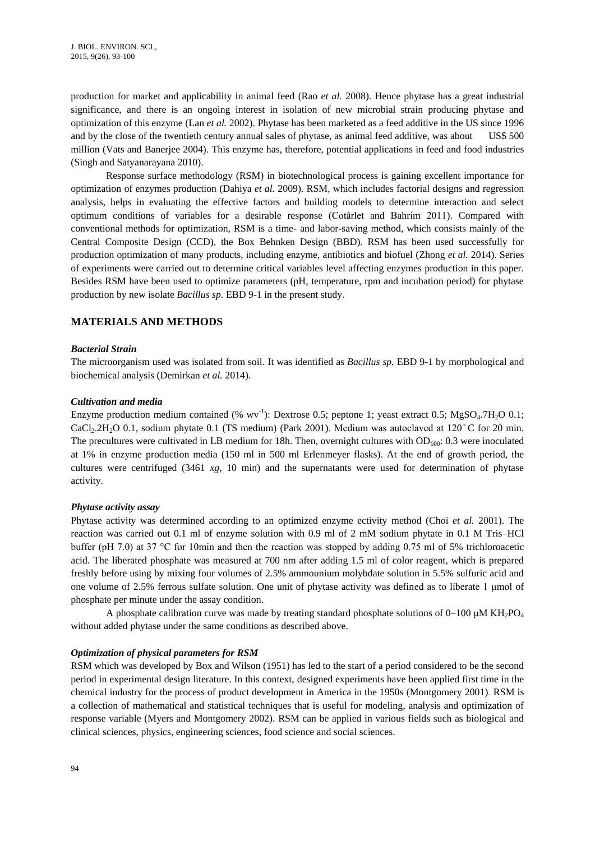production for market and applicability in animal feed (Rao *et al.* [2008\)](#page-6-6). Hence phytase has a great industrial significance, and there is an ongoing interest in isolation of new microbial strain producing phytase and optimization of this enzyme (Lan *et al.* [2002\)](#page-6-7). Phytase has been marketed as a feed additive in the US since 1996 and by the close of the twentieth century annual sales of phytase, as animal feed additive, was about US\$ 500 million [\(Vats and Banerjee](#page-7-2) 2004). This enzyme has, therefore, potential applications in feed and food industries [\(Singh and Satyanarayana 2010\)](#page-7-3).

Response surface methodology (RSM) in biotechnological process is gaining excellent importance for optimization of enzymes production [\(Dahiya](#page-6-8) *et al.* 2009). RSM, which includes factorial designs and regression analysis, helps in evaluating the effective factors and building models to determine interaction and select optimum conditions of variables for a desirable response [\(Cotârlet and Bahrim 2011\)](#page-6-9). Compared with conventional methods for optimization, RSM is a time- and labor-saving method, which consists mainly of the Central Composite Design (CCD), the Box Behnken Design (BBD). RSM has been used successfully for production optimization of many products, including enzyme, antibiotics and biofuel [\(Zhong](#page-7-4) *et al.* 2014). Series of experiments were carried out to determine critical variables level affecting enzymes production in this paper. Besides RSM have been used to optimize parameters (pH, temperature, rpm and incubation period) for phytase production by new isolate *Bacillus sp.* EBD 9-1 in the present study.

## **MATERIALS AND METHODS**

### *Bacterial Strain*

The microorganism used was isolated from soil. It was identified as *Bacillus sp.* EBD 9-1 by morphological and biochemical analysis [\(Demirkan](#page-6-10) *et al.* 2014).

#### *Cultivation and media*

Enzyme production medium contained  $(\% wv^{-1})$ : Dextrose 0.5; peptone 1; yeast extract 0.5; MgSO<sub>4</sub>.7H<sub>2</sub>O 0.1; CaCl<sub>2</sub>.2H<sub>2</sub>O 0.1, sodium phytate 0.1 (TS medium) [\(Park 2001\)](#page-6-11). Medium was autoclaved at 120°C for 20 min. The precultures were cultivated in LB medium for 18h. Then, overnight cultures with  $OD_{600}$ : 0.3 were inoculated at 1% in enzyme production media (150 ml in 500 ml Erlenmeyer flasks). At the end of growth period, the cultures were centrifuged (3461 *xg*, 10 min) and the supernatants were used for determination of phytase activity.

### *Phytase activity assay*

Phytase activity was determined according to an optimized enzyme ectivity method [\(Choi](#page-6-12) *et al.* 2001). The reaction was carried out 0.1 ml of enzyme solution with 0.9 ml of 2 mM sodium phytate in 0.1 M Tris–HCl buffer (pH 7.0) at 37 °C for 10min and then the reaction was stopped by adding 0.75 ml of 5% trichloroacetic acid. The liberated phosphate was measured at 700 nm after adding 1.5 ml of color reagent, which is prepared freshly before using by mixing four volumes of 2.5% ammounium molybdate solution in 5.5% sulfuric acid and one volume of 2.5% ferrous sulfate solution. One unit of phytase activity was defined as to liberate 1 μmol of phosphate per minute under the assay condition.

A phosphate calibration curve was made by treating standard phosphate solutions of  $0-100 \mu M KH_2PO_4$ without added phytase under the same conditions as described above.

#### *Optimization of physical parameters for RSM*

RSM which was developed by Box and Wilson (1951) has led to the start of a period considered to be the second period in experimental design literature. In this context, designed experiments have been applied first time in the chemical industry for the process of product development in America in the 1950s [\(Montgomery 2001\)](#page-6-13). RSM is a collection of mathematical and statistical techniques that is useful for modeling, analysis and optimization of response variable [\(Myers and Montgomery 2002\)](#page-6-14). RSM can be applied in various fields such as biological and clinical sciences, physics, engineering sciences, food science and social sciences.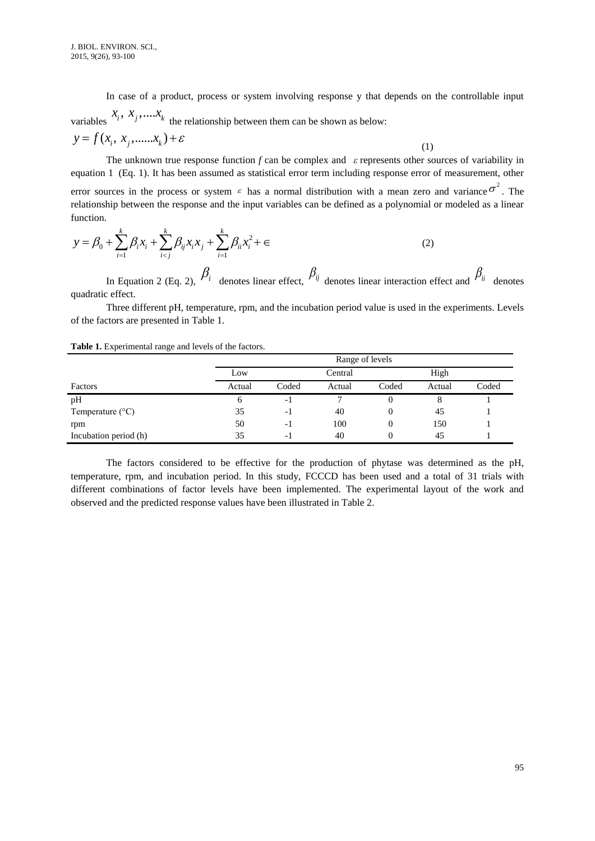In case of a product, process or system involving response y that depends on the controllable input

variables  $x_i$ ,  $x_j$ ,  $\dots x_k$  the relationship between them can be shown as below:

$$
y = f(x_i, x_j, \dots, x_k) + \varepsilon
$$
 (1)

The unknown true response function *f* can be complex and *ε* represents other sources of variability in equation 1 (Eq. 1). It has been assumed as statistical error term including response error of measurement, other error sources in the process or system  $\epsilon$  has a normal distribution with a mean zero and variance  $\sigma^2$ . The relationship between the response and the input variables can be defined as a polynomial or modeled as a linear function.

function.  
\n
$$
y = \beta_0 + \sum_{i=1}^{k} \beta_i x_i + \sum_{i < j}^{k} \beta_{ij} x_i x_j + \sum_{i=1}^{k} \beta_{ii} x_i^2 + \epsilon
$$
\n(2)

In Equation 2 (Eq. 2),  $\beta_i$  denotes linear effect,  $\beta_{ij}$  denotes linear interaction effect and  $\beta_{ii}$  denotes quadratic effect.

Three different pH, temperature, rpm, and the incubation period value is used in the experiments. Levels of the factors are presented in Table 1.

|                           | Range of levels |       |         |       |        |       |  |
|---------------------------|-----------------|-------|---------|-------|--------|-------|--|
|                           | Low             |       | Central |       | High   |       |  |
| Factors                   | Actual          | Coded | Actual  | Coded | Actual | Coded |  |
| pH                        | O               | - 1   |         | 0     | 8      |       |  |
| Temperature $(^{\circ}C)$ | 35              | -1    | 40      | O     | 45     |       |  |
| rpm                       | 50              | - 1   | 100     | 0     | 150    |       |  |
| Incubation period (h)     | 35              | - 1   | 40      | 0     | 45     |       |  |

The factors considered to be effective for the production of phytase was determined as the pH, temperature, rpm, and incubation period. In this study, FCCCD has been used and a total of 31 trials with different combinations of factor levels have been implemented. The experimental layout of the work and observed and the predicted response values have been illustrated in Table 2.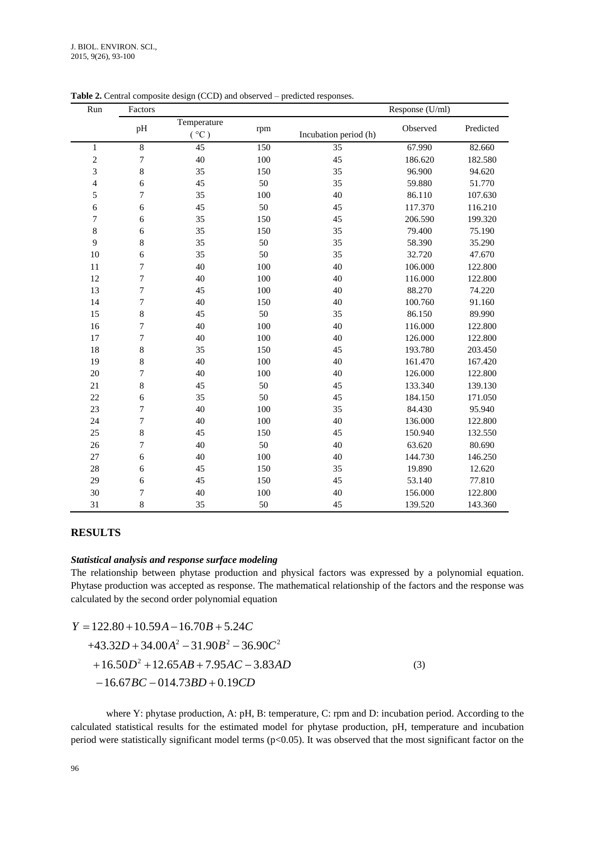| Run                      | Response (U/ml)<br>Factors |                     |     |                       |          |           |
|--------------------------|----------------------------|---------------------|-----|-----------------------|----------|-----------|
|                          | pH                         | Temperature<br>(°C) | rpm | Incubation period (h) | Observed | Predicted |
| 1                        | $\overline{8}$             | $\overline{45}$     | 150 | 35                    | 67.990   | 82.660    |
| $\overline{c}$           | $\tau$                     | 40                  | 100 | 45                    | 186.620  | 182.580   |
| $\mathfrak{Z}$           | $\,8\,$                    | 35                  | 150 | 35                    | 96.900   | 94.620    |
| $\overline{\mathcal{L}}$ | 6                          | 45                  | 50  | 35                    | 59.880   | 51.770    |
| 5                        | $\boldsymbol{7}$           | 35                  | 100 | 40                    | 86.110   | 107.630   |
| 6                        | 6                          | 45                  | 50  | 45                    | 117.370  | 116.210   |
| $\boldsymbol{7}$         | 6                          | 35                  | 150 | 45                    | 206.590  | 199.320   |
| $\,8\,$                  | 6                          | 35                  | 150 | 35                    | 79.400   | 75.190    |
| 9                        | $\,8\,$                    | 35                  | 50  | 35                    | 58.390   | 35.290    |
| 10                       | 6                          | 35                  | 50  | 35                    | 32.720   | 47.670    |
| 11                       | $\boldsymbol{7}$           | 40                  | 100 | 40                    | 106.000  | 122.800   |
| 12                       | $\boldsymbol{7}$           | 40                  | 100 | 40                    | 116.000  | 122.800   |
| 13                       | 7                          | 45                  | 100 | 40                    | 88.270   | 74.220    |
| 14                       | $\boldsymbol{7}$           | 40                  | 150 | 40                    | 100.760  | 91.160    |
| 15                       | 8                          | 45                  | 50  | 35                    | 86.150   | 89.990    |
| 16                       | $\boldsymbol{7}$           | 40                  | 100 | 40                    | 116.000  | 122.800   |
| 17                       | $\boldsymbol{7}$           | 40                  | 100 | 40                    | 126.000  | 122.800   |
| 18                       | $\,8\,$                    | 35                  | 150 | 45                    | 193.780  | 203.450   |
| 19                       | $\,8\,$                    | 40                  | 100 | 40                    | 161.470  | 167.420   |
| 20                       | $\boldsymbol{7}$           | 40                  | 100 | 40                    | 126.000  | 122.800   |
| 21                       | $\,8\,$                    | 45                  | 50  | 45                    | 133.340  | 139.130   |
| 22                       | 6                          | 35                  | 50  | 45                    | 184.150  | 171.050   |
| 23                       | $\boldsymbol{7}$           | 40                  | 100 | 35                    | 84.430   | 95.940    |
| 24                       | $\boldsymbol{7}$           | 40                  | 100 | 40                    | 136.000  | 122.800   |
| 25                       | $\,8\,$                    | 45                  | 150 | 45                    | 150.940  | 132.550   |
| 26                       | $\overline{7}$             | 40                  | 50  | 40                    | 63.620   | 80.690    |
| 27                       | 6                          | 40                  | 100 | 40                    | 144.730  | 146.250   |
| 28                       | 6                          | 45                  | 150 | 35                    | 19.890   | 12.620    |
| 29                       | 6                          | 45                  | 150 | 45                    | 53.140   | 77.810    |
| 30                       | $\boldsymbol{7}$           | 40                  | 100 | 40                    | 156.000  | 122.800   |
| 31                       | $\,8\,$                    | 35                  | 50  | 45                    | 139.520  | 143.360   |

**Table 2.** Central composite design (CCD) and observed – predicted responses.

## **RESULTS**

#### *Statistical analysis and response surface modeling*

The relationship between phytase production and physical factors was expressed by a polynomial equation. Phytase production was accepted as response. The mathematical relationship of the factors and the response was

calculated by the second order polynomial equation  
\n
$$
Y = 122.80 + 10.59A - 16.70B + 5.24C
$$
\n
$$
+43.32D + 34.00A^2 - 31.90B^2 - 36.90C^2
$$
\n
$$
+16.50D^2 + 12.65AB + 7.95AC - 3.83AD
$$
\n
$$
-16.67BC - 014.73BD + 0.19CD
$$
\n(3)

where Y: phytase production, A: pH, B: temperature, C: rpm and D: incubation period. According to the calculated statistical results for the estimated model for phytase production, pH, temperature and incubation period were statistically significant model terms (p<0.05). It was observed that the most significant factor on the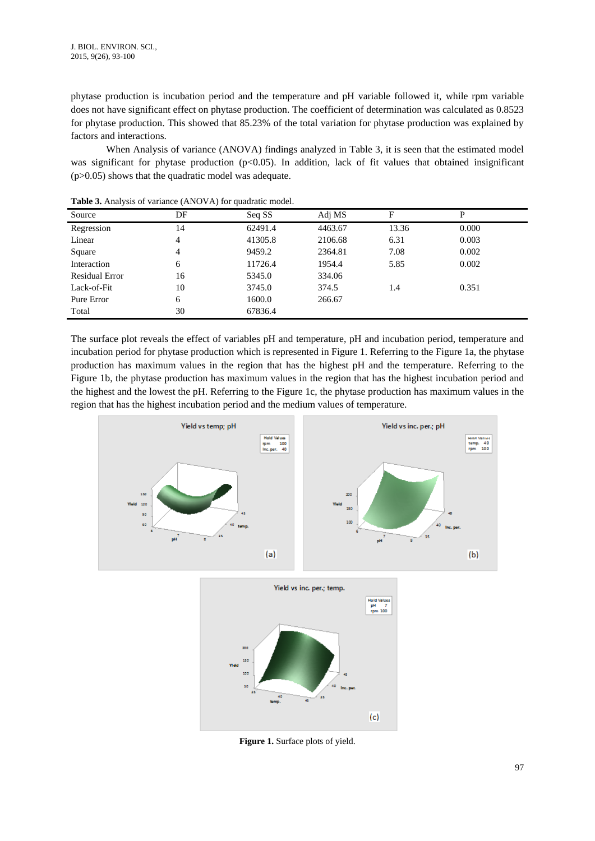phytase production is incubation period and the temperature and pH variable followed it, while rpm variable does not have significant effect on phytase production. The coefficient of determination was calculated as 0.8523 for phytase production. This showed that 85.23% of the total variation for phytase production was explained by factors and interactions.

When Analysis of variance (ANOVA) findings analyzed in Table 3, it is seen that the estimated model was significant for phytase production ( $p<0.05$ ). In addition, lack of fit values that obtained insignificant (p>0.05) shows that the quadratic model was adequate.

| Source                | DF | Seq SS  | Adj MS  | F     | P     |
|-----------------------|----|---------|---------|-------|-------|
| Regression            | 14 | 62491.4 | 4463.67 | 13.36 | 0.000 |
| Linear                | 4  | 41305.8 | 2106.68 | 6.31  | 0.003 |
| Square                | 4  | 9459.2  | 2364.81 | 7.08  | 0.002 |
| Interaction           | 6  | 11726.4 | 1954.4  | 5.85  | 0.002 |
| <b>Residual Error</b> | 16 | 5345.0  | 334.06  |       |       |
| Lack-of-Fit           | 10 | 3745.0  | 374.5   | 1.4   | 0.351 |
| Pure Error            | 6  | 1600.0  | 266.67  |       |       |
| Total                 | 30 | 67836.4 |         |       |       |

**Table 3.** Analysis of variance (ANOVA) for quadratic model.

The surface plot reveals the effect of variables pH and temperature, pH and incubation period, temperature and incubation period for phytase production which is represented in Figure 1. Referring to the Figure 1a, the phytase production has maximum values in the region that has the highest pH and the temperature. Referring to the Figure 1b, the phytase production has maximum values in the region that has the highest incubation period and the highest and the lowest the pH. Referring to the Figure 1c, the phytase production has maximum values in the region that has the highest incubation period and the medium values of temperature.







**Figure 1.** Surface plots of yield.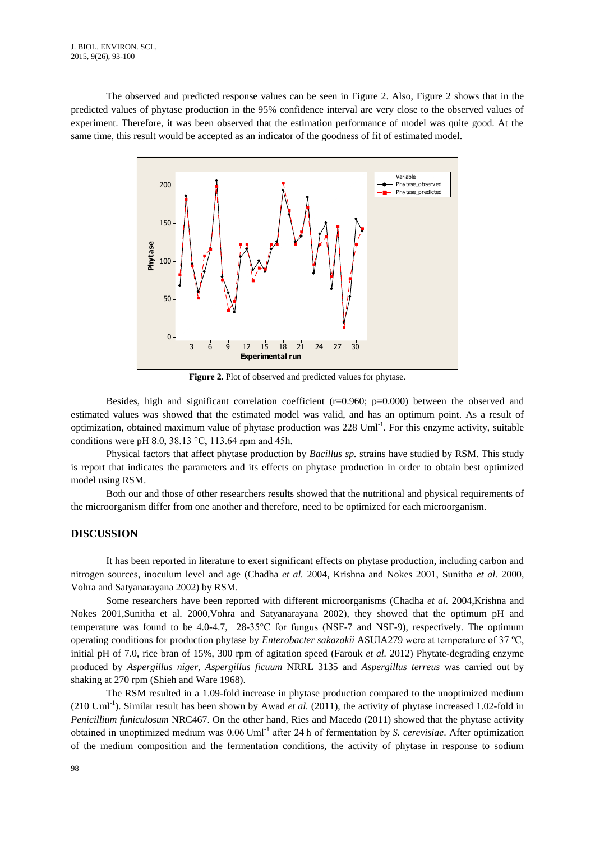The observed and predicted response values can be seen in Figure 2. Also, Figure 2 shows that in the predicted values of phytase production in the 95% confidence interval are very close to the observed values of experiment. Therefore, it was been observed that the estimation performance of model was quite good. At the same time, this result would be accepted as an indicator of the goodness of fit of estimated model.



**Figure 2.** Plot of observed and predicted values for phytase.

Besides, high and significant correlation coefficient  $(r=0.960; p=0.000)$  between the observed and estimated values was showed that the estimated model was valid, and has an optimum point. As a result of optimization, obtained maximum value of phytase production was 228 Uml<sup>-1</sup>. For this enzyme activity, suitable conditions were pH 8.0, 38.13 °C, 113.64 rpm and 45h.

Physical factors that affect phytase production by *Bacillus sp.* strains have studied by RSM. This study is report that indicates the parameters and its effects on phytase production in order to obtain best optimized model using RSM.

Both our and those of other researchers results showed that the nutritional and physical requirements of the microorganism differ from one another and therefore, need to be optimized for each microorganism.

## **DISCUSSION**

It has been reported in literature to exert significant effects on phytase production, including carbon and nitrogen sources, inoculum level and age [\(Chadha](#page-6-15) *et al.* 2004, [Krishna and Nokes 2001,](#page-6-16) [Sunitha](#page-7-5) *et al.* 2000, [Vohra and Satyanarayana 2002\)](#page-7-6) by RSM.

Some researchers have been reported with different microorganisms [\(Chadha](#page-6-15) *et al.* 200[4,Krishna and](#page-6-16)  [Nokes 2001](#page-6-16)[,Sunitha et al. 2000,](#page-7-5)[Vohra and Satyanarayana 2002\)](#page-7-6), they showed that the optimum pH and temperature was found to be 4.0-4.7, 28-35°C for fungus (NSF-7 and NSF-9), respectively. The optimum operating conditions for production phytase by *Enterobacter sakazakii* ASUIA279 were at temperature of 37 ºC, initial pH of 7.0, rice bran of 15%, 300 rpm of agitation speed [\(Farouk](#page-6-17) *et al.* 2012) Phytate-degrading enzyme produced by *Aspergillus niger, Aspergillus ficuum* NRRL 3135 and *Aspergillus terreus* was carried out by shaking at 270 rpm [\(Shieh and Ware 1968\)](#page-6-18).

The RSM resulted in a 1.09-fold increase in phytase production compared to the unoptimized medium (210 Uml<sup>-1</sup>). Similar result has been shown by Awad *et al.* (2011), the activity of phytase increased 1.02-fold in *Penicillium funiculosum* NRC467. On the other hand, Ries and Macedo (2011) showed that the phytase activity obtained in unoptimized medium was 0.06 Uml-1 after 24 h of fermentation by *S. cerevisiae*. After optimization of the medium composition and the fermentation conditions, the activity of phytase in response to sodium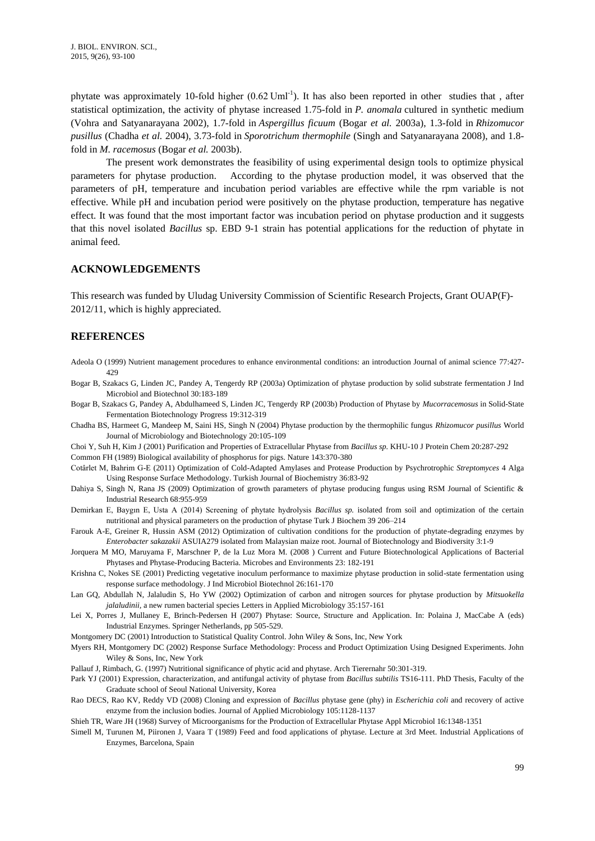phytate was approximately 10-fold higher  $(0.62 \text{ Uml}^{-1})$ . It has also been reported in other studies that, after statistical optimization, the activity of phytase increased 1.75-fold in *P. anomala* cultured in synthetic medium (Vohra [and Satyanarayana 2002\)](#page-7-6), 1.7-fold in *Aspergillus ficuum* [\(Bogar](#page-6-19) *et al.* 2003a), 1.3-fold in *Rhizomucor pusillus* [\(Chadha](#page-6-15) *et al.* 2004), 3.73-fold in *Sporotrichum thermophile* [\(Singh and Satyanarayana 2008\)](#page-7-7), and 1.8 fold in *M. racemosus* [\(Bogar](#page-6-20) *et al.* 2003b).

The present work demonstrates the feasibility of using experimental design tools to optimize physical parameters for phytase production. According to the phytase production model, it was observed that the parameters of pH, temperature and incubation period variables are effective while the rpm variable is not effective. While pH and incubation period were positively on the phytase production, temperature has negative effect. It was found that the most important factor was incubation period on phytase production and it suggests that this novel isolated *Bacillus* sp. EBD 9-1 strain has potential applications for the reduction of phytate in animal feed.

### **ACKNOWLEDGEMENTS**

This research was funded by Uludag University Commission of Scientific Research Projects, Grant OUAP(F)- 2012/11, which is highly appreciated.

## **REFERENCES**

- <span id="page-6-0"></span>Adeola O (1999) Nutrient management procedures to enhance environmental conditions: an introduction Journal of animal science 77:427- 429
- <span id="page-6-19"></span>Bogar B, Szakacs G, Linden JC, Pandey A, Tengerdy RP (2003a) Optimization of phytase production by solid substrate fermentation J Ind Microbiol and Biotechnol 30:183-189
- <span id="page-6-20"></span>Bogar B, Szakacs G, Pandey A, Abdulhameed S, Linden JC, Tengerdy RP (2003b) Production of Phytase by *Mucorracemosus* in Solid-State Fermentation Biotechnology Progress 19:312-319
- <span id="page-6-15"></span>Chadha BS, Harmeet G, Mandeep M, Saini HS, Singh N (2004) Phytase production by the thermophilic fungus *Rhizomucor pusillus* World Journal of Microbiology and Biotechnology 20:105-109
- <span id="page-6-12"></span>Choi Y, Suh H, Kim J (2001) Purification and Properties of Extracellular Phytase from *Bacillus sp.* KHU-10 J Protein Chem 20:287-292

<span id="page-6-1"></span>Common FH (1989) Biological availability of phosphorus for pigs. Nature 143:370-380

- <span id="page-6-9"></span>Cotârlet M, Bahrim G-E (2011) Optimization of Cold-Adapted Amylases and Protease Production by Psychrotrophic *Streptomyces* 4 Alga Using Response Surface Methodology. Turkish Journal of Biochemistry 36:83-92
- <span id="page-6-8"></span>Dahiya S, Singh N, Rana JS (2009) Optimization of growth parameters of phytase producing fungus using RSM Journal of Scientific & Industrial Research 68:955-959
- <span id="page-6-10"></span>Demirkan E, Baygın E, Usta A (2014) Screening of phytate hydrolysis *Bacillus sp.* isolated from soil and optimization of the certain nutritional and physical parameters on the production of phytase Turk J Biochem 39 206–214
- <span id="page-6-17"></span>Farouk A-E, Greiner R, Hussin ASM (2012) Optimization of cultivation conditions for the production of phytate-degrading enzymes by *Enterobacter sakazakii* ASUIA279 isolated from Malaysian maize root. Journal of Biotechnology and Biodiversity 3:1-9
- <span id="page-6-5"></span>Jorquera M MO, Maruyama F, Marschner P, de la Luz Mora M. (2008 ) Current and Future Biotechnological Applications of Bacterial Phytases and Phytase-Producing Bacteria. Microbes and Environments 23: 182-191
- <span id="page-6-16"></span>Krishna C, Nokes SE (2001) Predicting vegetative inoculum performance to maximize phytase production in solid-state fermentation using response surface methodology. J Ind Microbiol Biotechnol 26:161-170
- <span id="page-6-7"></span>Lan GQ, Abdullah N, Jalaludin S, Ho YW (2002) Optimization of carbon and nitrogen sources for phytase production by *Mitsuokella jalaludinii,* a new rumen bacterial species Letters in Applied Microbiology 35:157-161
- <span id="page-6-4"></span>Lei X, Porres J, Mullaney E, Brinch-Pedersen H (2007) Phytase: Source, Structure and Application. In: Polaina J, MacCabe A (eds) Industrial Enzymes. Springer Netherlands, pp 505-529.
- <span id="page-6-13"></span>Montgomery DC (2001) Introduction to Statistical Quality Control. John Wiley & Sons, Inc, New York
- <span id="page-6-14"></span>Myers RH, Montgomery DC (2002) Response Surface Methodology: Process and Product Optimization Using Designed Experiments. John Wiley & Sons, Inc, New York
- <span id="page-6-2"></span>Pallauf J, Rimbach, G. (1997) Nutritional significance of phytic acid and phytase. Arch Tierernahr 50:301-319.
- <span id="page-6-11"></span>Park YJ (2001) Expression, characterization, and antifungal activity of phytase from *Bacillus subtilis* TS16-111. PhD Thesis, Faculty of the Graduate school of Seoul National University, Korea
- <span id="page-6-6"></span>Rao DECS, Rao KV, Reddy VD (2008) Cloning and expression of *Bacillus* phytase gene (phy) in *Escherichia coli* and recovery of active enzyme from the inclusion bodies. Journal of Applied Microbiology 105:1128-1137
- <span id="page-6-18"></span>Shieh TR, Ware JH (1968) Survey of Microorganisms for the Production of Extracellular Phytase Appl Microbiol 16:1348-1351
- <span id="page-6-3"></span>Simell M, Turunen M, Piironen J, Vaara T (1989) Feed and food applications of phytase. Lecture at 3rd Meet. Industrial Applications of Enzymes, Barcelona, Spain